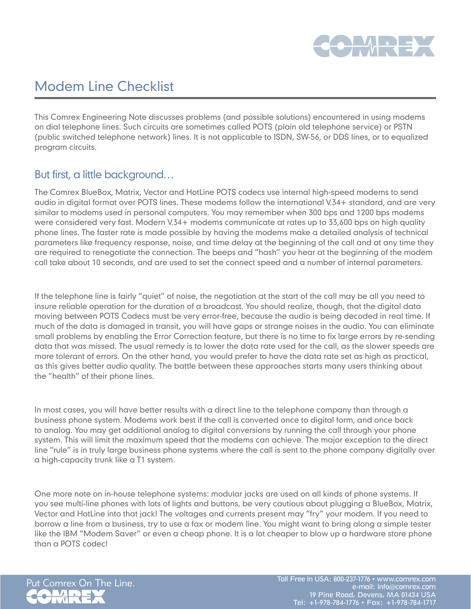

# Modem Line Checklist

This Comrex Engineering Note discusses problems (and possible solutions) encountered in using modems on dial telephone lines. Such circuits are sometimes called POTS (plain old telephone service) or PSTN (public switched telephone network) lines. It is not applicable to ISDN, SW-56, or DDS lines, or to equalized program circuits.

## But first, a little background…

The Comrex BlueBox, Matrix, Vector and HotLine POTS codecs use internal high-speed modems to send audio in digital format over POTS lines. These modems follow the international V.34+ standard, and are very similar to modems used in personal computers. You may remember when 300 bps and 1200 bps modems were considered very fast. Modern V.34+ modems communicate at rates up to 33,600 bps on high quality phone lines. The faster rate is made possible by having the modems make a detailed analysis of technical parameters like frequency response, noise, and time delay at the beginning of the call and at any time they are required to renegotiate the connection. The beeps and "hash" you hear at the beginning of the modem call take about 10 seconds, and are used to set the connect speed and a number of internal parameters.

If the telephone line is fairly "quiet" of noise, the negotiation at the start of the call may be all you need to insure reliable operation for the duration of a broadcast. You should realize, though, that the digital data moving between POTS Codecs must be very error-free, because the audio is being decoded in real time. If much of the data is damaged in transit, you will have gaps or strange noises in the audio. You can eliminate small problems by enabling the Error Correction feature, but there is no time to fix large errors by re-sending data that was missed. The usual remedy is to lower the data rate used for the call, as the slower speeds are more tolerant of errors. On the other hand, you would prefer to have the data rate set as high as practical, as this gives better audio quality. The battle between these approaches starts many users thinking about the "health" of their phone lines.

In most cases, you will have better results with a direct line to the telephone company than through a business phone system. Modems work best if the call is converted once to digital form, and once back to analog. You may get additional analog to digital conversions by running the call through your phone system. This will limit the maximum speed that the modems can achieve. The major exception to the direct line "rule" is in truly large business phone systems where the call is sent to the phone company digitally over a high-capacity trunk like a T1 system.

One more note on in-house telephone systems: modular jacks are used on all kinds of phone systems. If you see multi-line phones with lots of lights and buttons, be very cautious about plugging a BlueBox, Matrix, Vector and HotLine into that jack! The voltages and currents present may "fry" your modem. If you need to borrow a line from a business, try to use a fax or modem line. You might want to bring along a simple tester like the IBM "Modem Saver" or even a cheap phone. It is a lot cheaper to blow up a hardware store phone than a POTS codec!

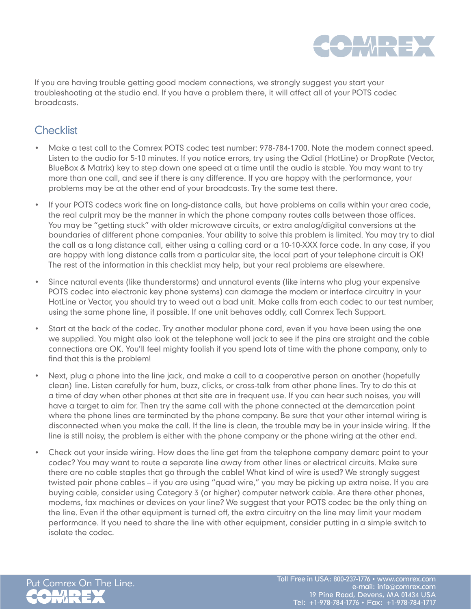

If you are having trouble getting good modem connections, we strongly suggest you start your troubleshooting at the studio end. If you have a problem there, it will affect all of your POTS codec broadcasts.

#### **Checklist**

- Make a test call to the Comrex POTS codec test number: 978-784-1700. Note the modem connect speed. Listen to the audio for 5-10 minutes. If you notice errors, try using the Qdial (HotLine) or DropRate (Vector, BlueBox & Matrix) key to step down one speed at a time until the audio is stable. You may want to try more than one call, and see if there is any difference. If you are happy with the performance, your problems may be at the other end of your broadcasts. Try the same test there.
- If your POTS codecs work fine on long-distance calls, but have problems on calls within your area code, the real culprit may be the manner in which the phone company routes calls between those offices. You may be "getting stuck" with older microwave circuits, or extra analog/digital conversions at the boundaries of different phone companies. Your ability to solve this problem is limited. You may try to dial the call as a long distance call, either using a calling card or a 10-10-XXX force code. In any case, if you are happy with long distance calls from a particular site, the local part of your telephone circuit is OK! The rest of the information in this checklist may help, but your real problems are elsewhere.
- Since natural events (like thunderstorms) and unnatural events (like interns who plug your expensive POTS codec into electronic key phone systems) can damage the modem or interface circuitry in your HotLine or Vector, you should try to weed out a bad unit. Make calls from each codec to our test number, using the same phone line, if possible. If one unit behaves oddly, call Comrex Tech Support.
- Start at the back of the codec. Try another modular phone cord, even if you have been using the one we supplied. You might also look at the telephone wall jack to see if the pins are straight and the cable connections are OK. You'll feel mighty foolish if you spend lots of time with the phone company, only to find that this is the problem!
- Next, plug a phone into the line jack, and make a call to a cooperative person on another (hopefully clean) line. Listen carefully for hum, buzz, clicks, or cross-talk from other phone lines. Try to do this at a time of day when other phones at that site are in frequent use. If you can hear such noises, you will have a target to aim for. Then try the same call with the phone connected at the demarcation point where the phone lines are terminated by the phone company. Be sure that your other internal wiring is disconnected when you make the call. If the line is clean, the trouble may be in your inside wiring. If the line is still noisy, the problem is either with the phone company or the phone wiring at the other end.
- Check out your inside wiring. How does the line get from the telephone company demarc point to your codec? You may want to route a separate line away from other lines or electrical circuits. Make sure there are no cable staples that go through the cable! What kind of wire is used? We strongly suggest twisted pair phone cables – if you are using "quad wire," you may be picking up extra noise. If you are buying cable, consider using Category 3 (or higher) computer network cable. Are there other phones, modems, fax machines or devices on your line? We suggest that your POTS codec be the only thing on the line. Even if the other equipment is turned off, the extra circuitry on the line may limit your modem performance. If you need to share the line with other equipment, consider putting in a simple switch to isolate the codec.

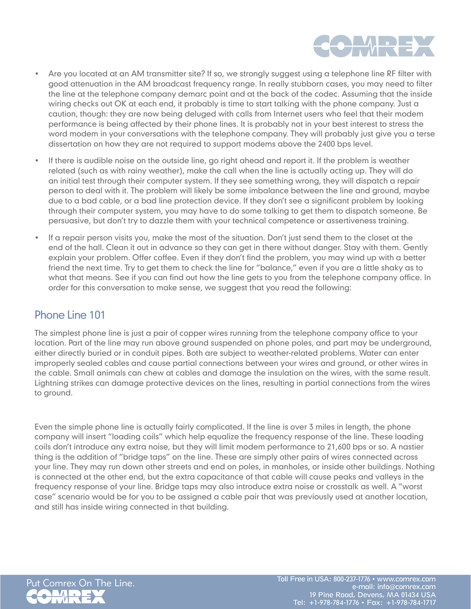

- • Are you located at an AM transmitter site? If so, we strongly suggest using a telephone line RF filter with good attenuation in the AM broadcast frequency range. In really stubborn cases, you may need to filter the line at the telephone company demarc point and at the back of the codec. Assuming that the inside wiring checks out OK at each end, it probably is time to start talking with the phone company. Just a caution, though: they are now being deluged with calls from Internet users who feel that their modem performance is being affected by their phone lines. It is probably not in your best interest to stress the word modem in your conversations with the telephone company. They will probably just give you a terse dissertation on how they are not required to support modems above the 2400 bps level.
- If there is audible noise on the outside line, go right ahead and report it. If the problem is weather related (such as with rainy weather), make the call when the line is actually acting up. They will do an initial test through their computer system. If they see something wrong, they will dispatch a repair person to deal with it. The problem will likely be some imbalance between the line and ground, maybe due to a bad cable, or a bad line protection device. If they don't see a significant problem by looking through their computer system, you may have to do some talking to get them to dispatch someone. Be persuasive, but don't try to dazzle them with your technical competence or assertiveness training.
- If a repair person visits you, make the most of the situation. Don't just send them to the closet at the end of the hall. Clean it out in advance so they can get in there without danger. Stay with them. Gently explain your problem. Offer coffee. Even if they don't find the problem, you may wind up with a better friend the next time. Try to get them to check the line for "balance," even if you are a little shaky as to what that means. See if you can find out how the line gets to you from the telephone company office. In order for this conversation to make sense, we suggest that you read the following:

## Phone Line 101

The simplest phone line is just a pair of copper wires running from the telephone company office to your location. Part of the line may run above ground suspended on phone poles, and part may be underground, either directly buried or in conduit pipes. Both are subject to weather-related problems. Water can enter improperly sealed cables and cause partial connections between your wires and ground, or other wires in the cable. Small animals can chew at cables and damage the insulation on the wires, with the same result. Lightning strikes can damage protective devices on the lines, resulting in partial connections from the wires to ground.

Even the simple phone line is actually fairly complicated. If the line is over 3 miles in length, the phone company will insert "loading coils" which help equalize the frequency response of the line. These loading coils don't introduce any extra noise, but they will limit modem performance to 21,600 bps or so. A nastier thing is the addition of "bridge taps" on the line. These are simply other pairs of wires connected across your line. They may run down other streets and end on poles, in manholes, or inside other buildings. Nothing is connected at the other end, but the extra capacitance of that cable will cause peaks and valleys in the frequency response of your line. Bridge taps may also introduce extra noise or crosstalk as well. A "worst case" scenario would be for you to be assigned a cable pair that was previously used at another location, and still has inside wiring connected in that building.